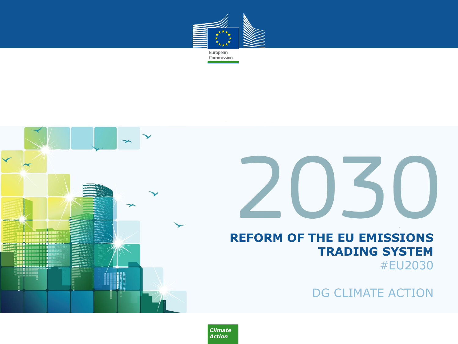

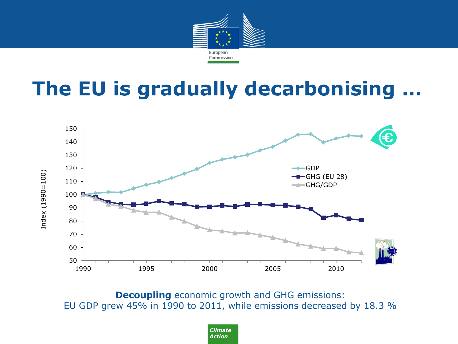

## **The EU is gradually decarbonising …**



**Decoupling** economic growth and GHG emissions: EU GDP grew 45% in 1990 to 2011, while emissions decreased by 18.3 %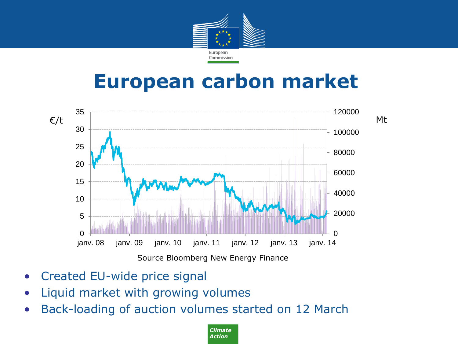

#### **European carbon market**



- Created EU-wide price signal
- Liquid market with growing volumes
- Back-loading of auction volumes started on 12 March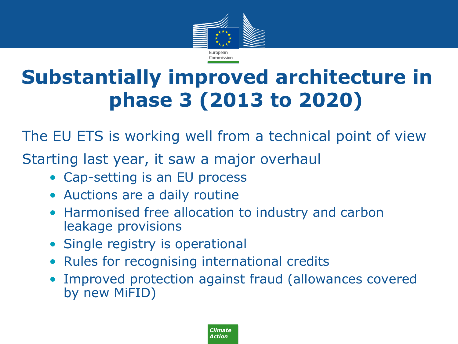

# **Substantially improved architecture in phase 3 (2013 to 2020)**

The EU ETS is working well from a technical point of view

Starting last year, it saw a major overhaul

- Cap-setting is an EU process
- Auctions are a daily routine
- Harmonised free allocation to industry and carbon leakage provisions
- Single registry is operational
- Rules for recognising international credits
- Improved protection against fraud (allowances covered by new MiFID)

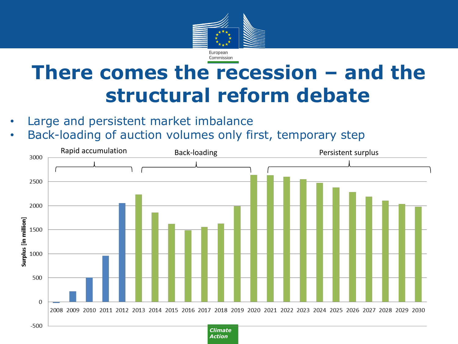

## **There comes the recession – and the structural reform debate**

- Large and persistent market imbalance
- Back-loading of auction volumes only first, temporary step

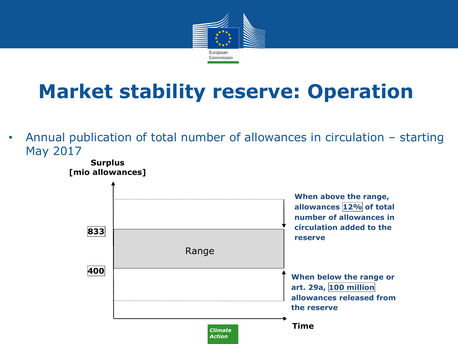

# **Market stability reserve: Operation**

• Annual publication of total number of allowances in circulation – starting May 2017

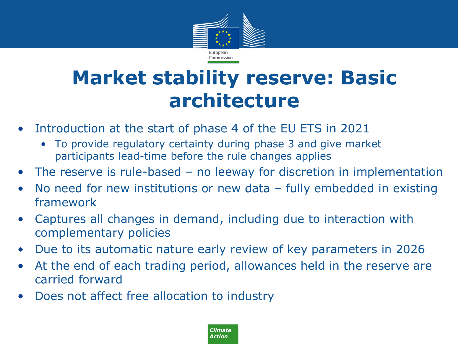

## **Market stability reserve: Basic architecture**

- Introduction at the start of phase 4 of the EU ETS in 2021
	- To provide regulatory certainty during phase 3 and give market participants lead-time before the rule changes applies
- The reserve is rule-based no leeway for discretion in implementation
- No need for new institutions or new data fully embedded in existing framework
- Captures all changes in demand, including due to interaction with complementary policies
- Due to its automatic nature early review of key parameters in 2026
- At the end of each trading period, allowances held in the reserve are carried forward
- Does not affect free allocation to industry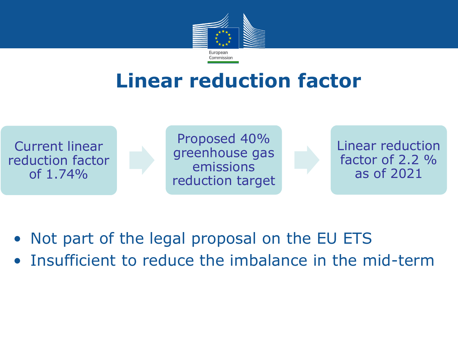

## **Linear reduction factor**



Proposed 40% greenhouse gas emissions reduction target

Linear reduction factor of 2.2 % as of 2021

- Not part of the legal proposal on the EU ETS
- Insufficient to reduce the imbalance in the mid-term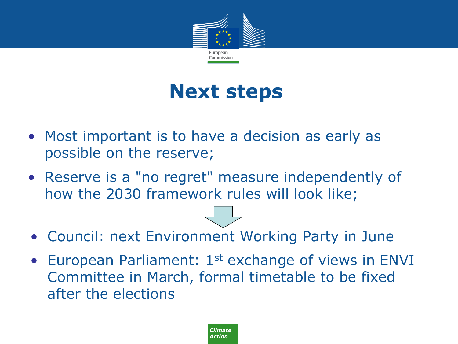

#### **Next steps**

- Most important is to have a decision as early as possible on the reserve;
- Reserve is a "no regret" measure independently of how the 2030 framework rules will look like;
- Council: next Environment Working Party in June
- European Parliament: 1<sup>st</sup> exchange of views in ENVI Committee in March, formal timetable to be fixed after the elections